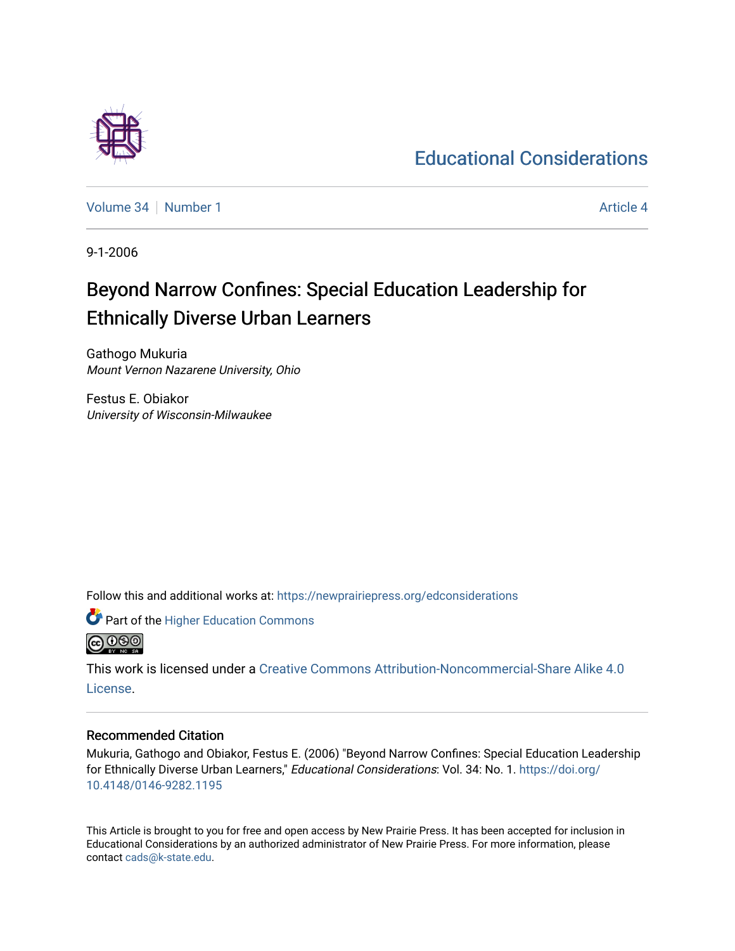# [Educational Considerations](https://newprairiepress.org/edconsiderations)

[Volume 34](https://newprairiepress.org/edconsiderations/vol34) | [Number 1](https://newprairiepress.org/edconsiderations/vol34/iss1) [Article 4](https://newprairiepress.org/edconsiderations/vol34/iss1/4) Article 4 Article 4 Article 4 Article 4 Article 4 Article 4 Article 4 Article 4

9-1-2006

# Beyond Narrow Confines: Special Education Leadership for Ethnically Diverse Urban Learners

Gathogo Mukuria Mount Vernon Nazarene University, Ohio

Festus E. Obiakor University of Wisconsin-Milwaukee

Follow this and additional works at: [https://newprairiepress.org/edconsiderations](https://newprairiepress.org/edconsiderations?utm_source=newprairiepress.org%2Fedconsiderations%2Fvol34%2Fiss1%2F4&utm_medium=PDF&utm_campaign=PDFCoverPages) 



This work is licensed under a [Creative Commons Attribution-Noncommercial-Share Alike 4.0](https://creativecommons.org/licenses/by-nc-sa/4.0/) [License.](https://creativecommons.org/licenses/by-nc-sa/4.0/)

## Recommended Citation

Mukuria, Gathogo and Obiakor, Festus E. (2006) "Beyond Narrow Confines: Special Education Leadership for Ethnically Diverse Urban Learners," Educational Considerations: Vol. 34: No. 1. [https://doi.org/](https://doi.org/10.4148/0146-9282.1195) [10.4148/0146-9282.1195](https://doi.org/10.4148/0146-9282.1195)

This Article is brought to you for free and open access by New Prairie Press. It has been accepted for inclusion in Educational Considerations by an authorized administrator of New Prairie Press. For more information, please contact [cads@k-state.edu](mailto:cads@k-state.edu).

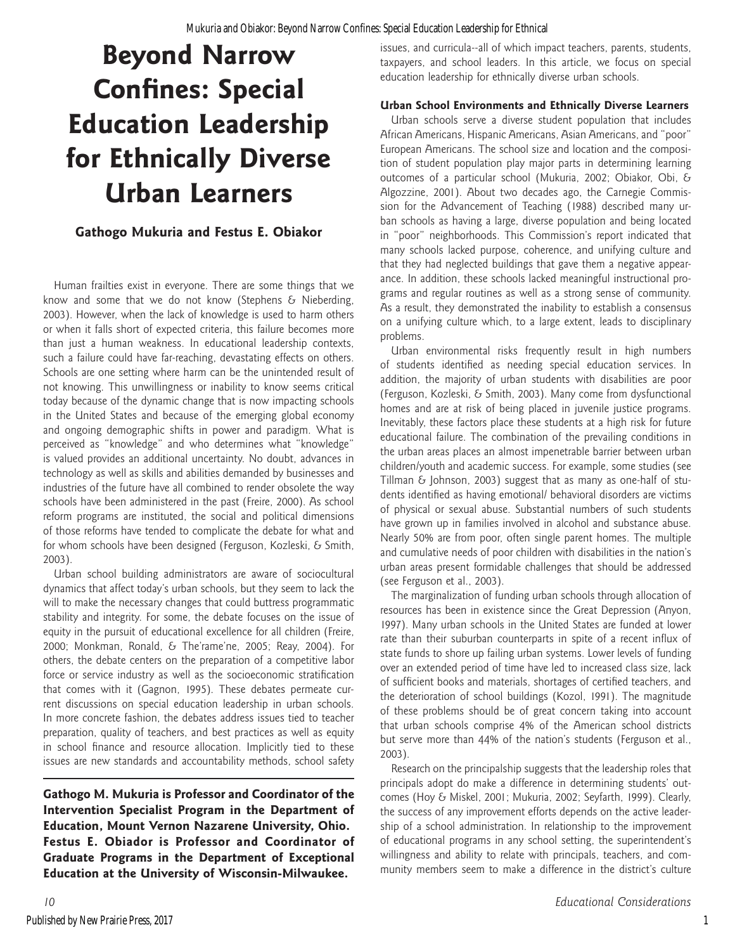# **Beyond Narrow Confines: Special Education Leadership for Ethnically Diverse Urban Learners**

# **Gathogo Mukuria and Festus E. Obiakor**

Human frailties exist in everyone. There are some things that we know and some that we do not know (Stephens & Nieberding, 2003). However, when the lack of knowledge is used to harm others or when it falls short of expected criteria, this failure becomes more than just a human weakness. In educational leadership contexts, such a failure could have far-reaching, devastating effects on others. Schools are one setting where harm can be the unintended result of not knowing. This unwillingness or inability to know seems critical today because of the dynamic change that is now impacting schools in the United States and because of the emerging global economy and ongoing demographic shifts in power and paradigm. What is perceived as "knowledge" and who determines what "knowledge" is valued provides an additional uncertainty. No doubt, advances in technology as well as skills and abilities demanded by businesses and industries of the future have all combined to render obsolete the way schools have been administered in the past (Freire, 2000). As school reform programs are instituted, the social and political dimensions of those reforms have tended to complicate the debate for what and for whom schools have been designed (Ferguson, Kozleski, & Smith, 2003).

Urban school building administrators are aware of sociocultural dynamics that affect today's urban schools, but they seem to lack the will to make the necessary changes that could buttress programmatic stability and integrity. For some, the debate focuses on the issue of equity in the pursuit of educational excellence for all children (Freire, 2000; Monkman, Ronald, & The'rame'ne, 2005; Reay, 2004). For others, the debate centers on the preparation of a competitive labor force or service industry as well as the socioeconomic stratification that comes with it (Gagnon, 1995). These debates permeate current discussions on special education leadership in urban schools. In more concrete fashion, the debates address issues tied to teacher preparation, quality of teachers, and best practices as well as equity in school finance and resource allocation. Implicitly tied to these issues are new standards and accountability methods, school safety

**Gathogo M. Mukuria is Professor and Coordinator of the Intervention Specialist Program in the Department of Education, Mount Vernon Nazarene University, Ohio. Festus E. Obiador is Professor and Coordinator of Graduate Programs in the Department of Exceptional Education at the University of Wisconsin-Milwaukee.**

issues, and curricula--all of which impact teachers, parents, students, taxpayers, and school leaders. In this article, we focus on special education leadership for ethnically diverse urban schools.

### **Urban School Environments and Ethnically Diverse Learners**

Urban schools serve a diverse student population that includes African Americans, Hispanic Americans, Asian Americans, and "poor" European Americans. The school size and location and the composition of student population play major parts in determining learning outcomes of a particular school (Mukuria, 2002; Obiakor, Obi, & Algozzine, 2001). About two decades ago, the Carnegie Commission for the Advancement of Teaching (1988) described many urban schools as having a large, diverse population and being located in "poor" neighborhoods. This Commission's report indicated that many schools lacked purpose, coherence, and unifying culture and that they had neglected buildings that gave them a negative appearance. In addition, these schools lacked meaningful instructional programs and regular routines as well as a strong sense of community. As a result, they demonstrated the inability to establish a consensus on a unifying culture which, to a large extent, leads to disciplinary problems.

Urban environmental risks frequently result in high numbers of students identified as needing special education services. In addition, the majority of urban students with disabilities are poor (Ferguson, Kozleski, & Smith, 2003). Many come from dysfunctional homes and are at risk of being placed in juvenile justice programs. Inevitably, these factors place these students at a high risk for future educational failure. The combination of the prevailing conditions in the urban areas places an almost impenetrable barrier between urban children/youth and academic success. For example, some studies (see Tillman & Johnson, 2003) suggest that as many as one-half of students identified as having emotional/ behavioral disorders are victims of physical or sexual abuse. Substantial numbers of such students have grown up in families involved in alcohol and substance abuse. Nearly 50% are from poor, often single parent homes. The multiple and cumulative needs of poor children with disabilities in the nation's urban areas present formidable challenges that should be addressed (see Ferguson et al., 2003).

The marginalization of funding urban schools through allocation of resources has been in existence since the Great Depression (Anyon, 1997). Many urban schools in the United States are funded at lower rate than their suburban counterparts in spite of a recent influx of state funds to shore up failing urban systems. Lower levels of funding over an extended period of time have led to increased class size, lack of sufficient books and materials, shortages of certified teachers, and the deterioration of school buildings (Kozol, 1991). The magnitude of these problems should be of great concern taking into account that urban schools comprise 4% of the American school districts but serve more than 44% of the nation's students (Ferguson et al., 2003).

Research on the principalship suggests that the leadership roles that principals adopt do make a difference in determining students' outcomes (Hoy & Miskel, 2001; Mukuria, 2002; Seyfarth, 1999). Clearly, the success of any improvement efforts depends on the active leadership of a school administration. In relationship to the improvement of educational programs in any school setting, the superintendent's willingness and ability to relate with principals, teachers, and community members seem to make a difference in the district's culture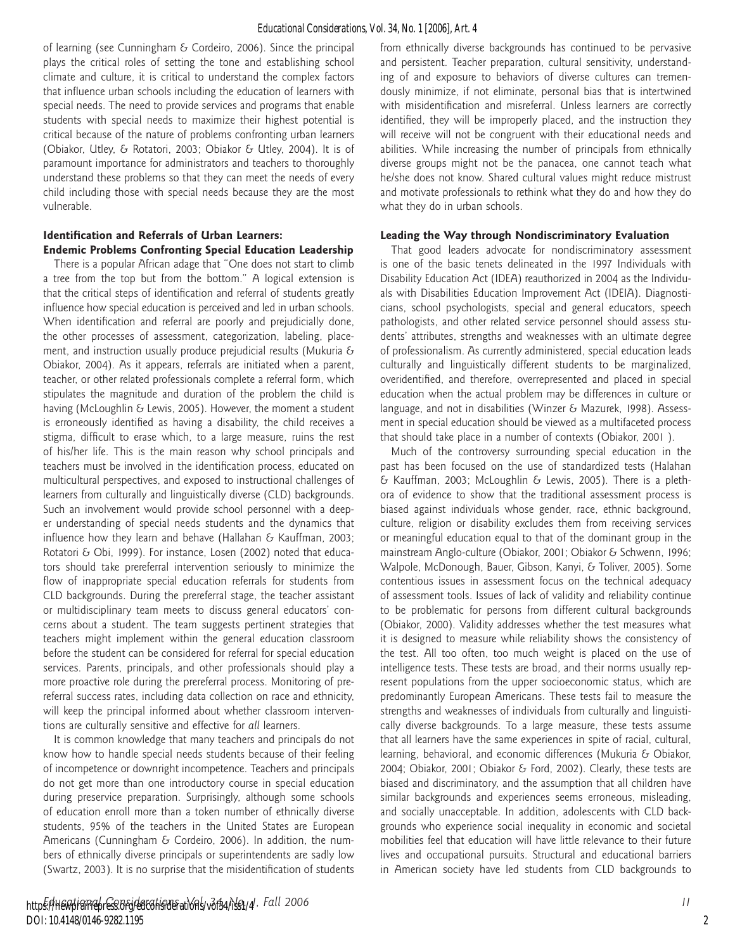of learning (see Cunningham & Cordeiro, 2006). Since the principal plays the critical roles of setting the tone and establishing school climate and culture, it is critical to understand the complex factors that influence urban schools including the education of learners with special needs. The need to provide services and programs that enable students with special needs to maximize their highest potential is critical because of the nature of problems confronting urban learners (Obiakor, Utley, & Rotatori, 2003; Obiakor & Utley, 2004). It is of paramount importance for administrators and teachers to thoroughly understand these problems so that they can meet the needs of every child including those with special needs because they are the most vulnerable.

#### **Identification and Referrals of Urban Learners: Endemic Problems Confronting Special Education Leadership**

There is a popular African adage that "One does not start to climb a tree from the top but from the bottom." A logical extension is that the critical steps of identification and referral of students greatly influence how special education is perceived and led in urban schools. When identification and referral are poorly and prejudicially done, the other processes of assessment, categorization, labeling, placement, and instruction usually produce prejudicial results (Mukuria & Obiakor, 2004). As it appears, referrals are initiated when a parent, teacher, or other related professionals complete a referral form, which stipulates the magnitude and duration of the problem the child is having (McLoughlin & Lewis, 2005). However, the moment a student is erroneously identified as having a disability, the child receives a stigma, difficult to erase which, to a large measure, ruins the rest of his/her life. This is the main reason why school principals and teachers must be involved in the identification process, educated on multicultural perspectives, and exposed to instructional challenges of learners from culturally and linguistically diverse (CLD) backgrounds. Such an involvement would provide school personnel with a deeper understanding of special needs students and the dynamics that influence how they learn and behave (Hallahan  $\delta$  Kauffman, 2003; Rotatori & Obi, 1999). For instance, Losen (2002) noted that educators should take prereferral intervention seriously to minimize the flow of inappropriate special education referrals for students from CLD backgrounds. During the prereferral stage, the teacher assistant or multidisciplinary team meets to discuss general educators' concerns about a student. The team suggests pertinent strategies that teachers might implement within the general education classroom before the student can be considered for referral for special education services. Parents, principals, and other professionals should play a more proactive role during the prereferral process. Monitoring of prereferral success rates, including data collection on race and ethnicity, will keep the principal informed about whether classroom interventions are culturally sensitive and effective for *all* learners.

It is common knowledge that many teachers and principals do not know how to handle special needs students because of their feeling of incompetence or downright incompetence. Teachers and principals do not get more than one introductory course in special education during preservice preparation. Surprisingly, although some schools of education enroll more than a token number of ethnically diverse students, 95% of the teachers in the United States are European Americans (Cunningham & Cordeiro, 2006). In addition, the numbers of ethnically diverse principals or superintendents are sadly low (Swartz, 2003). It is no surprise that the misidentification of students

from ethnically diverse backgrounds has continued to be pervasive and persistent. Teacher preparation, cultural sensitivity, understanding of and exposure to behaviors of diverse cultures can tremendously minimize, if not eliminate, personal bias that is intertwined with misidentification and misreferral. Unless learners are correctly identified, they will be improperly placed, and the instruction they will receive will not be congruent with their educational needs and abilities. While increasing the number of principals from ethnically diverse groups might not be the panacea, one cannot teach what he/she does not know. Shared cultural values might reduce mistrust and motivate professionals to rethink what they do and how they do what they do in urban schools.

#### **Leading the Way through Nondiscriminatory Evaluation**

That good leaders advocate for nondiscriminatory assessment is one of the basic tenets delineated in the 1997 Individuals with Disability Education Act (IDEA) reauthorized in 2004 as the Individuals with Disabilities Education Improvement Act (IDEIA). Diagnosticians, school psychologists, special and general educators, speech pathologists, and other related service personnel should assess students' attributes, strengths and weaknesses with an ultimate degree of professionalism. As currently administered, special education leads culturally and linguistically different students to be marginalized, overidentified, and therefore, overrepresented and placed in special education when the actual problem may be differences in culture or language, and not in disabilities (Winzer & Mazurek, 1998). Assessment in special education should be viewed as a multifaceted process that should take place in a number of contexts (Obiakor, 2001 ).

Much of the controversy surrounding special education in the past has been focused on the use of standardized tests (Halahan & Kauffman, 2003; McLoughlin & Lewis, 2005). There is a plethora of evidence to show that the traditional assessment process is biased against individuals whose gender, race, ethnic background, culture, religion or disability excludes them from receiving services or meaningful education equal to that of the dominant group in the mainstream Anglo-culture (Obiakor, 2001; Obiakor & Schwenn, 1996; Walpole, McDonough, Bauer, Gibson, Kanyi, & Toliver, 2005). Some contentious issues in assessment focus on the technical adequacy of assessment tools. Issues of lack of validity and reliability continue to be problematic for persons from different cultural backgrounds (Obiakor, 2000). Validity addresses whether the test measures what it is designed to measure while reliability shows the consistency of the test. All too often, too much weight is placed on the use of intelligence tests. These tests are broad, and their norms usually represent populations from the upper socioeconomic status, which are predominantly European Americans. These tests fail to measure the strengths and weaknesses of individuals from culturally and linguistically diverse backgrounds. To a large measure, these tests assume that all learners have the same experiences in spite of racial, cultural, learning, behavioral, and economic differences (Mukuria & Obiakor, 2004; Obiakor, 2001; Obiakor & Ford, 2002). Clearly, these tests are biased and discriminatory, and the assumption that all children have similar backgrounds and experiences seems erroneous, misleading, and socially unacceptable. In addition, adolescents with CLD backgrounds who experience social inequality in economic and societal mobilities feel that education will have little relevance to their future lives and occupational pursuits. Structural and educational barriers in American society have led students from CLD backgrounds to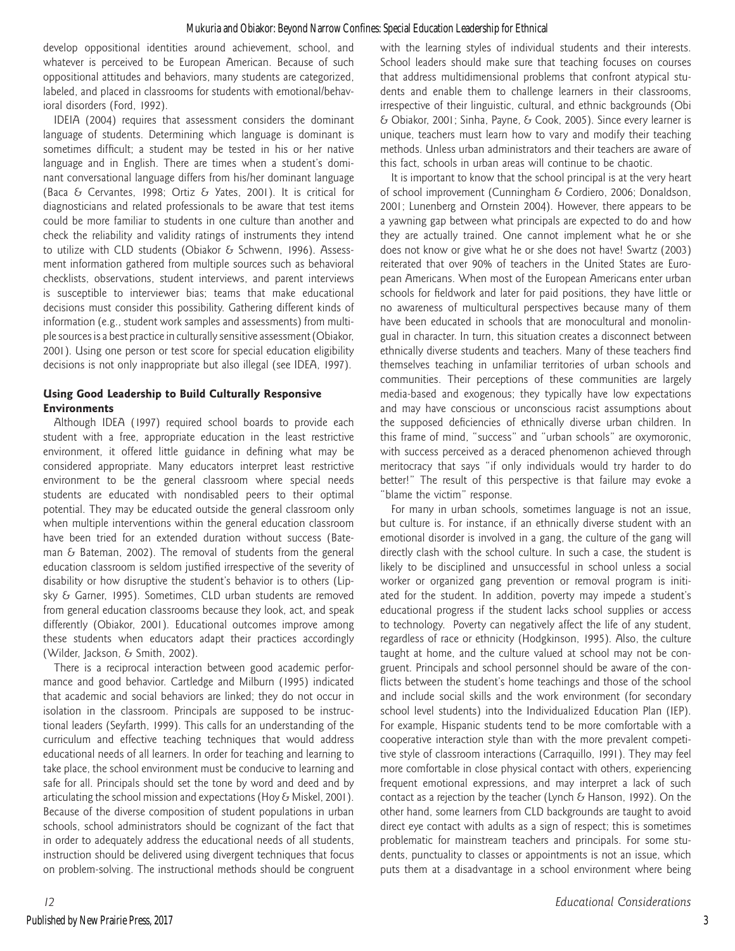develop oppositional identities around achievement, school, and whatever is perceived to be European American. Because of such oppositional attitudes and behaviors, many students are categorized, labeled, and placed in classrooms for students with emotional/behavioral disorders (Ford, 1992).

IDEIA (2004) requires that assessment considers the dominant language of students. Determining which language is dominant is sometimes difficult; a student may be tested in his or her native language and in English. There are times when a student's dominant conversational language differs from his/her dominant language (Baca & Cervantes, 1998; Ortiz & Yates, 2001). It is critical for diagnosticians and related professionals to be aware that test items could be more familiar to students in one culture than another and check the reliability and validity ratings of instruments they intend to utilize with CLD students (Obiakor & Schwenn, 1996). Assessment information gathered from multiple sources such as behavioral checklists, observations, student interviews, and parent interviews is susceptible to interviewer bias; teams that make educational decisions must consider this possibility. Gathering different kinds of information (e.g., student work samples and assessments) from multiple sources is a best practice in culturally sensitive assessment (Obiakor, 2001). Using one person or test score for special education eligibility decisions is not only inappropriate but also illegal (see IDEA, 1997).

# **Using Good Leadership to Build Culturally Responsive Environments**

Although IDEA (1997) required school boards to provide each student with a free, appropriate education in the least restrictive environment, it offered little guidance in defining what may be considered appropriate. Many educators interpret least restrictive environment to be the general classroom where special needs students are educated with nondisabled peers to their optimal potential. They may be educated outside the general classroom only when multiple interventions within the general education classroom have been tried for an extended duration without success (Bateman & Bateman, 2002). The removal of students from the general education classroom is seldom justified irrespective of the severity of disability or how disruptive the student's behavior is to others (Lipsky & Garner, 1995). Sometimes, CLD urban students are removed from general education classrooms because they look, act, and speak differently (Obiakor, 2001). Educational outcomes improve among these students when educators adapt their practices accordingly (Wilder, Jackson, & Smith, 2002).

There is a reciprocal interaction between good academic performance and good behavior. Cartledge and Milburn (1995) indicated that academic and social behaviors are linked; they do not occur in isolation in the classroom. Principals are supposed to be instructional leaders (Seyfarth, 1999). This calls for an understanding of the curriculum and effective teaching techniques that would address educational needs of all learners. In order for teaching and learning to take place, the school environment must be conducive to learning and safe for all. Principals should set the tone by word and deed and by articulating the school mission and expectations (Hoy & Miskel, 2001). Because of the diverse composition of student populations in urban schools, school administrators should be cognizant of the fact that in order to adequately address the educational needs of all students, instruction should be delivered using divergent techniques that focus on problem-solving. The instructional methods should be congruent with the learning styles of individual students and their interests. School leaders should make sure that teaching focuses on courses that address multidimensional problems that confront atypical students and enable them to challenge learners in their classrooms, irrespective of their linguistic, cultural, and ethnic backgrounds (Obi & Obiakor, 2001; Sinha, Payne, & Cook, 2005). Since every learner is unique, teachers must learn how to vary and modify their teaching methods. Unless urban administrators and their teachers are aware of this fact, schools in urban areas will continue to be chaotic.

It is important to know that the school principal is at the very heart of school improvement (Cunningham & Cordiero, 2006; Donaldson, 2001; Lunenberg and Ornstein 2004). However, there appears to be a yawning gap between what principals are expected to do and how they are actually trained. One cannot implement what he or she does not know or give what he or she does not have! Swartz (2003) reiterated that over 90% of teachers in the United States are European Americans. When most of the European Americans enter urban schools for fieldwork and later for paid positions, they have little or no awareness of multicultural perspectives because many of them have been educated in schools that are monocultural and monolingual in character. In turn, this situation creates a disconnect between ethnically diverse students and teachers. Many of these teachers find themselves teaching in unfamiliar territories of urban schools and communities. Their perceptions of these communities are largely media-based and exogenous; they typically have low expectations and may have conscious or unconscious racist assumptions about the supposed deficiencies of ethnically diverse urban children. In this frame of mind, "success" and "urban schools" are oxymoronic, with success perceived as a deraced phenomenon achieved through meritocracy that says "if only individuals would try harder to do better!" The result of this perspective is that failure may evoke a "blame the victim" response.

For many in urban schools, sometimes language is not an issue, but culture is. For instance, if an ethnically diverse student with an emotional disorder is involved in a gang, the culture of the gang will directly clash with the school culture. In such a case, the student is likely to be disciplined and unsuccessful in school unless a social worker or organized gang prevention or removal program is initiated for the student. In addition, poverty may impede a student's educational progress if the student lacks school supplies or access to technology. Poverty can negatively affect the life of any student, regardless of race or ethnicity (Hodgkinson, 1995). Also, the culture taught at home, and the culture valued at school may not be congruent. Principals and school personnel should be aware of the conflicts between the student's home teachings and those of the school and include social skills and the work environment (for secondary school level students) into the Individualized Education Plan (IEP). For example, Hispanic students tend to be more comfortable with a cooperative interaction style than with the more prevalent competitive style of classroom interactions (Carraquillo, 1991). They may feel more comfortable in close physical contact with others, experiencing frequent emotional expressions, and may interpret a lack of such contact as a rejection by the teacher (Lynch & Hanson, 1992). On the other hand, some learners from CLD backgrounds are taught to avoid direct eye contact with adults as a sign of respect; this is sometimes problematic for mainstream teachers and principals. For some students, punctuality to classes or appointments is not an issue, which puts them at a disadvantage in a school environment where being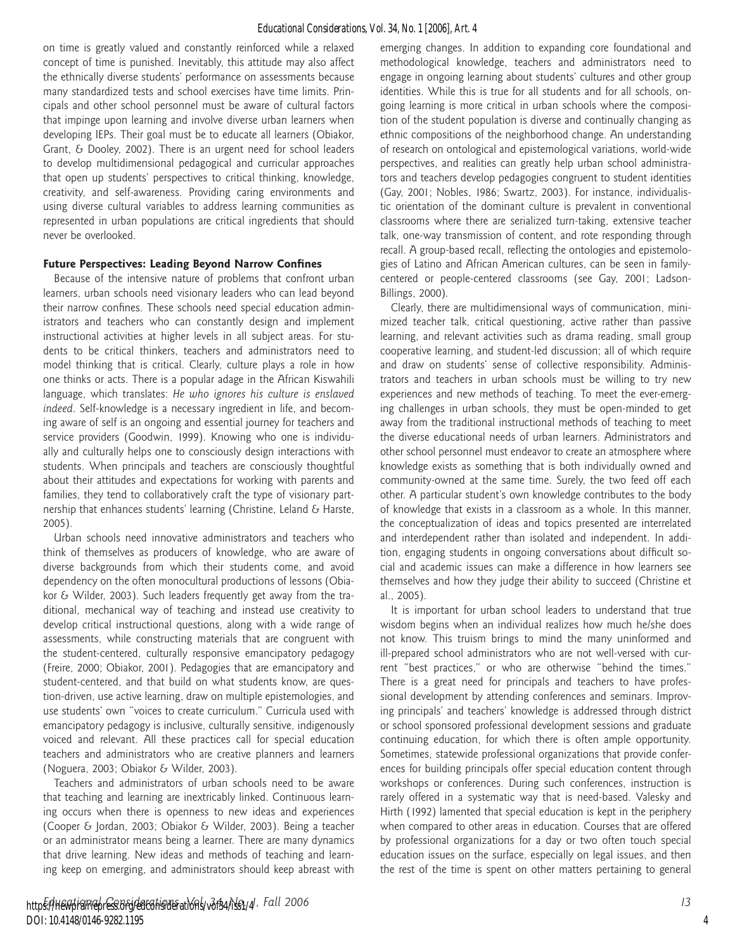on time is greatly valued and constantly reinforced while a relaxed concept of time is punished. Inevitably, this attitude may also affect the ethnically diverse students' performance on assessments because many standardized tests and school exercises have time limits. Principals and other school personnel must be aware of cultural factors that impinge upon learning and involve diverse urban learners when developing IEPs. Their goal must be to educate all learners (Obiakor, Grant, & Dooley, 2002). There is an urgent need for school leaders to develop multidimensional pedagogical and curricular approaches that open up students' perspectives to critical thinking, knowledge, creativity, and self-awareness. Providing caring environments and using diverse cultural variables to address learning communities as represented in urban populations are critical ingredients that should never be overlooked.

#### **Future Perspectives: Leading Beyond Narrow Confines**

Because of the intensive nature of problems that confront urban learners, urban schools need visionary leaders who can lead beyond their narrow confines. These schools need special education administrators and teachers who can constantly design and implement instructional activities at higher levels in all subject areas. For students to be critical thinkers, teachers and administrators need to model thinking that is critical. Clearly, culture plays a role in how one thinks or acts. There is a popular adage in the African Kiswahili language, which translates: *He who ignores his culture is enslaved indeed*. Self-knowledge is a necessary ingredient in life, and becoming aware of self is an ongoing and essential journey for teachers and service providers (Goodwin, 1999). Knowing who one is individually and culturally helps one to consciously design interactions with students. When principals and teachers are consciously thoughtful about their attitudes and expectations for working with parents and families, they tend to collaboratively craft the type of visionary partnership that enhances students' learning (Christine, Leland & Harste, 2005).

Urban schools need innovative administrators and teachers who think of themselves as producers of knowledge, who are aware of diverse backgrounds from which their students come, and avoid dependency on the often monocultural productions of lessons (Obiakor & Wilder, 2003). Such leaders frequently get away from the traditional, mechanical way of teaching and instead use creativity to develop critical instructional questions, along with a wide range of assessments, while constructing materials that are congruent with the student-centered, culturally responsive emancipatory pedagogy (Freire, 2000; Obiakor, 2001). Pedagogies that are emancipatory and student-centered, and that build on what students know, are question-driven, use active learning, draw on multiple epistemologies, and use students' own "voices to create curriculum." Curricula used with emancipatory pedagogy is inclusive, culturally sensitive, indigenously voiced and relevant. All these practices call for special education teachers and administrators who are creative planners and learners (Noguera, 2003; Obiakor & Wilder, 2003).

Teachers and administrators of urban schools need to be aware that teaching and learning are inextricably linked. Continuous learning occurs when there is openness to new ideas and experiences (Cooper & Jordan, 2003; Obiakor & Wilder, 2003). Being a teacher or an administrator means being a learner. There are many dynamics that drive learning. New ideas and methods of teaching and learning keep on emerging, and administrators should keep abreast with

emerging changes. In addition to expanding core foundational and methodological knowledge, teachers and administrators need to engage in ongoing learning about students' cultures and other group identities. While this is true for all students and for all schools, ongoing learning is more critical in urban schools where the composition of the student population is diverse and continually changing as ethnic compositions of the neighborhood change. An understanding of research on ontological and epistemological variations, world-wide perspectives, and realities can greatly help urban school administrators and teachers develop pedagogies congruent to student identities (Gay, 2001; Nobles, 1986; Swartz, 2003). For instance, individualistic orientation of the dominant culture is prevalent in conventional classrooms where there are serialized turn-taking, extensive teacher talk, one-way transmission of content, and rote responding through recall. A group-based recall, reflecting the ontologies and epistemologies of Latino and African American cultures, can be seen in familycentered or people-centered classrooms (see Gay, 2001; Ladson-Billings, 2000).

Clearly, there are multidimensional ways of communication, minimized teacher talk, critical questioning, active rather than passive learning, and relevant activities such as drama reading, small group cooperative learning, and student-led discussion; all of which require and draw on students' sense of collective responsibility. Administrators and teachers in urban schools must be willing to try new experiences and new methods of teaching. To meet the ever-emerging challenges in urban schools, they must be open-minded to get away from the traditional instructional methods of teaching to meet the diverse educational needs of urban learners. Administrators and other school personnel must endeavor to create an atmosphere where knowledge exists as something that is both individually owned and community-owned at the same time. Surely, the two feed off each other. A particular student's own knowledge contributes to the body of knowledge that exists in a classroom as a whole. In this manner, the conceptualization of ideas and topics presented are interrelated and interdependent rather than isolated and independent. In addition, engaging students in ongoing conversations about difficult social and academic issues can make a difference in how learners see themselves and how they judge their ability to succeed (Christine et al., 2005).

It is important for urban school leaders to understand that true wisdom begins when an individual realizes how much he/she does not know. This truism brings to mind the many uninformed and ill-prepared school administrators who are not well-versed with current "best practices," or who are otherwise "behind the times." There is a great need for principals and teachers to have professional development by attending conferences and seminars. Improving principals' and teachers' knowledge is addressed through district or school sponsored professional development sessions and graduate continuing education, for which there is often ample opportunity. Sometimes, statewide professional organizations that provide conferences for building principals offer special education content through workshops or conferences. During such conferences, instruction is rarely offered in a systematic way that is need-based. Valesky and Hirth (1992) lamented that special education is kept in the periphery when compared to other areas in education. Courses that are offered by professional organizations for a day or two often touch special education issues on the surface, especially on legal issues, and then the rest of the time is spent on other matters pertaining to general

4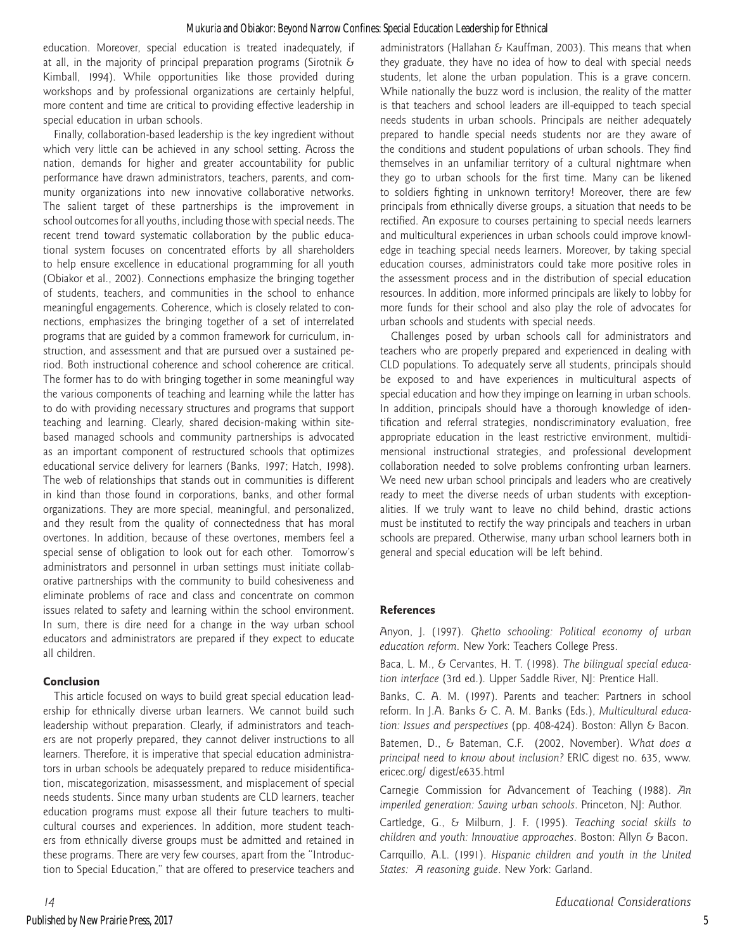education. Moreover, special education is treated inadequately, if at all, in the majority of principal preparation programs (Sirotnik & Kimball, 1994). While opportunities like those provided during workshops and by professional organizations are certainly helpful, more content and time are critical to providing effective leadership in special education in urban schools.

Finally, collaboration-based leadership is the key ingredient without which very little can be achieved in any school setting. Across the nation, demands for higher and greater accountability for public performance have drawn administrators, teachers, parents, and community organizations into new innovative collaborative networks. The salient target of these partnerships is the improvement in school outcomes for all youths, including those with special needs. The recent trend toward systematic collaboration by the public educational system focuses on concentrated efforts by all shareholders to help ensure excellence in educational programming for all youth (Obiakor et al., 2002). Connections emphasize the bringing together of students, teachers, and communities in the school to enhance meaningful engagements. Coherence, which is closely related to connections, emphasizes the bringing together of a set of interrelated programs that are guided by a common framework for curriculum, instruction, and assessment and that are pursued over a sustained period. Both instructional coherence and school coherence are critical. The former has to do with bringing together in some meaningful way the various components of teaching and learning while the latter has to do with providing necessary structures and programs that support teaching and learning. Clearly, shared decision-making within sitebased managed schools and community partnerships is advocated as an important component of restructured schools that optimizes educational service delivery for learners (Banks, 1997; Hatch, 1998). The web of relationships that stands out in communities is different in kind than those found in corporations, banks, and other formal organizations. They are more special, meaningful, and personalized, and they result from the quality of connectedness that has moral overtones. In addition, because of these overtones, members feel a special sense of obligation to look out for each other. Tomorrow's administrators and personnel in urban settings must initiate collaborative partnerships with the community to build cohesiveness and eliminate problems of race and class and concentrate on common issues related to safety and learning within the school environment. In sum, there is dire need for a change in the way urban school educators and administrators are prepared if they expect to educate all children.

## **Conclusion**

This article focused on ways to build great special education leadership for ethnically diverse urban learners. We cannot build such leadership without preparation. Clearly, if administrators and teachers are not properly prepared, they cannot deliver instructions to all learners. Therefore, it is imperative that special education administrators in urban schools be adequately prepared to reduce misidentification, miscategorization, misassessment, and misplacement of special needs students. Since many urban students are CLD learners, teacher education programs must expose all their future teachers to multicultural courses and experiences. In addition, more student teachers from ethnically diverse groups must be admitted and retained in these programs. There are very few courses, apart from the "Introduction to Special Education," that are offered to preservice teachers and administrators (Hallahan & Kauffman, 2003). This means that when they graduate, they have no idea of how to deal with special needs students, let alone the urban population. This is a grave concern. While nationally the buzz word is inclusion, the reality of the matter is that teachers and school leaders are ill-equipped to teach special needs students in urban schools. Principals are neither adequately prepared to handle special needs students nor are they aware of the conditions and student populations of urban schools. They find themselves in an unfamiliar territory of a cultural nightmare when they go to urban schools for the first time. Many can be likened to soldiers fighting in unknown territory! Moreover, there are few principals from ethnically diverse groups, a situation that needs to be rectified. An exposure to courses pertaining to special needs learners and multicultural experiences in urban schools could improve knowledge in teaching special needs learners. Moreover, by taking special education courses, administrators could take more positive roles in the assessment process and in the distribution of special education resources. In addition, more informed principals are likely to lobby for more funds for their school and also play the role of advocates for urban schools and students with special needs.

Challenges posed by urban schools call for administrators and teachers who are properly prepared and experienced in dealing with CLD populations. To adequately serve all students, principals should be exposed to and have experiences in multicultural aspects of special education and how they impinge on learning in urban schools. In addition, principals should have a thorough knowledge of identification and referral strategies, nondiscriminatory evaluation, free appropriate education in the least restrictive environment, multidimensional instructional strategies, and professional development collaboration needed to solve problems confronting urban learners. We need new urban school principals and leaders who are creatively ready to meet the diverse needs of urban students with exceptionalities. If we truly want to leave no child behind, drastic actions must be instituted to rectify the way principals and teachers in urban schools are prepared. Otherwise, many urban school learners both in general and special education will be left behind.

#### **References**

Anyon, J. (1997). *Ghetto schooling: Political economy of urban education reform*. New York: Teachers College Press.

Baca, L. M., & Cervantes, H. T. (1998). *The bilingual special education interface* (3rd ed.). Upper Saddle River, NJ: Prentice Hall.

Banks, C. A. M. (1997). Parents and teacher: Partners in school reform. In J.A. Banks & C. A. M. Banks (Eds.), *Multicultural education: Issues and perspectives* (pp. 408-424). Boston: Allyn & Bacon.

Batemen, D., & Bateman, C.F. (2002, November). *What does a principal need to know about inclusion?* ERIC digest no. 635, www. ericec.org/ digest/e635.html

Carnegie Commission for Advancement of Teaching (1988). *An imperiled generation: Saving urban schools*. Princeton, NJ: Author.

Cartledge, G., & Milburn, J. F. (1995). *Teaching social skills to children and youth: Innovative approaches*. Boston: Allyn & Bacon.

Carrquillo, A.L. (1991). *Hispanic children and youth in the United States: A reasoning guide*. New York: Garland.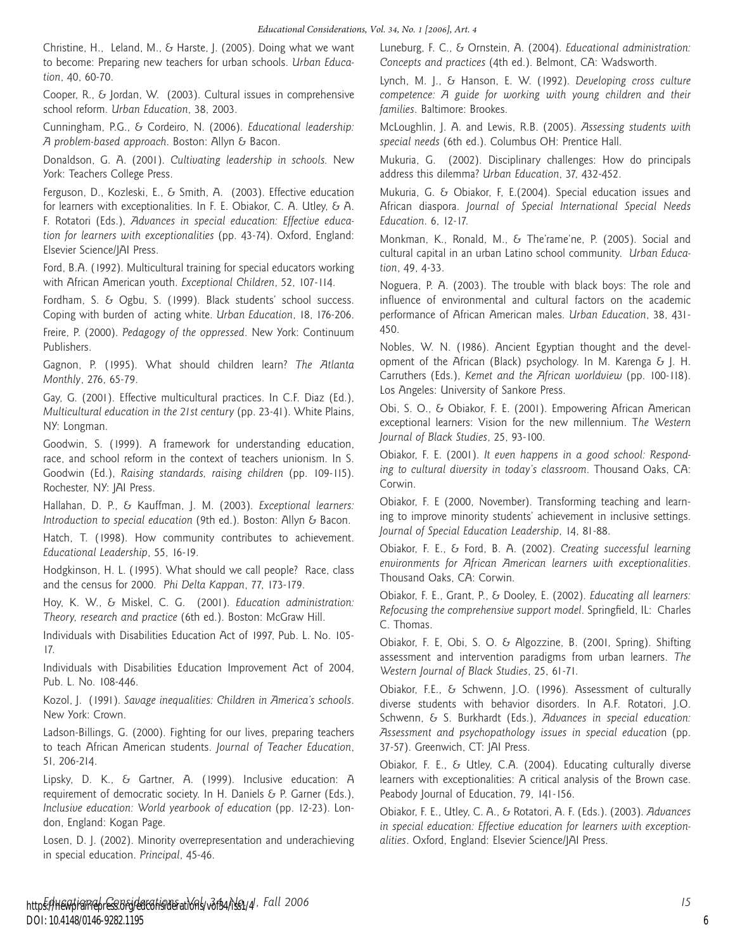Christine, H., Leland, M., & Harste, J. (2005). Doing what we want to become: Preparing new teachers for urban schools. *Urban Education*, 40, 60-70.

Cooper, R., & Jordan, W. (2003). Cultural issues in comprehensive school reform. *Urban Education*, 38, 2003.

Cunningham, P.G., & Cordeiro, N. (2006). *Educational leadership: A problem-based approach*. Boston: Allyn & Bacon.

Donaldson, G. A. (2001). *Cultivating leadership in schools.* New York: Teachers College Press.

Ferguson, D., Kozleski, E., & Smith, A. (2003). Effective education for learners with exceptionalities. In F. E. Obiakor, C. A. Utley, & A. F. Rotatori (Eds.), *Advances in special education: Effective education for learners with exceptionalities* (pp. 43-74). Oxford, England: Elsevier Science/JAI Press.

Ford, B.A. (1992). Multicultural training for special educators working with African American youth. *Exceptional Children*, 52, 107-114.

Fordham, S. & Ogbu, S. (1999). Black students' school success. Coping with burden of acting white. *Urban Education*, 18, 176-206.

Freire, P. (2000). *Pedagogy of the oppressed*. New York: Continuum Publishers.

Gagnon, P. (1995). What should children learn? *The Atlanta Monthly*, 276, 65-79.

Gay, G. (2001). Effective multicultural practices. In C.F. Diaz (Ed.), *Multicultural education in the 21st century* (pp. 23-41). White Plains, NY: Longman.

Goodwin, S. (1999). A framework for understanding education, race, and school reform in the context of teachers unionism. In S. Goodwin (Ed.), *Raising standards, raising children* (pp. 109-115). Rochester, NY: JAI Press.

Hallahan, D. P., & Kauffman, J. M. (2003). *Exceptional learners: Introduction to special education* (9th ed.). Boston: Allyn & Bacon.

Hatch, T. (1998). How community contributes to achievement. *Educational Leadership*, 55, 16-19.

Hodgkinson, H. L. (1995). What should we call people? Race, class and the census for 2000. *Phi Delta Kappan*, 77, 173-179.

Hoy, K. W., & Miskel, C. G. (2001). *Education administration: Theory, research and practice* (6th ed.). Boston: McGraw Hill.

Individuals with Disabilities Education Act of 1997, Pub. L. No. 105- 17.

Individuals with Disabilities Education Improvement Act of 2004, Pub. L. No. 108-446.

Kozol, J. (1991). *Savage inequalities: Children in America's schools*. New York: Crown.

Ladson-Billings, G. (2000). Fighting for our lives, preparing teachers to teach African American students. *Journal of Teacher Education*, 51, 206-214.

Lipsky, D. K., & Gartner, A. (1999). Inclusive education: A requirement of democratic society. In H. Daniels & P. Garner (Eds.), *Inclusive education: World yearbook of education* (pp. 12-23). London, England: Kogan Page.

Losen, D. J. (2002). Minority overrepresentation and underachieving in special education. *Principal*, 45-46.

Luneburg, F. C., & Ornstein, A. (2004). *Educational administration: Concepts and practices* (4th ed.). Belmont, CA: Wadsworth.

Lynch, M. J., & Hanson, E. W. (1992). *Developing cross culture competence: A guide for working with young children and their families*. Baltimore: Brookes.

McLoughlin, J. A. and Lewis, R.B. (2005). *Assessing students with special needs* (6th ed.). Columbus OH: Prentice Hall.

Mukuria, G. (2002). Disciplinary challenges: How do principals address this dilemma? *Urban Education*, 37, 432-452.

Mukuria, G. & Obiakor, F, E.(2004). Special education issues and African diaspora. *Journal of Special International Special Needs Education*. 6, 12-17.

Monkman, K., Ronald, M., & The'rame'ne, P. (2005). Social and cultural capital in an urban Latino school community. *Urban Education*, 49, 4-33.

Noguera, P. A. (2003). The trouble with black boys: The role and influence of environmental and cultural factors on the academic performance of African American males. *Urban Education*, 38, 431- 450.

Nobles, W. N. (1986). Ancient Egyptian thought and the development of the African (Black) psychology. In M. Karenga  $\epsilon$  J. H. Carruthers (Eds.), *Kemet and the African worldview* (pp. 100-118). Los Angeles: University of Sankore Press.

Obi, S. O., & Obiakor, F. E. (2001). Empowering African American exceptional learners: Vision for the new millennium. T*he Western Journal of Black Studies*, 25, 93-100.

Obiakor, F. E. (2001). *It even happens in a good school: Responding to cultural diversity in today's classroom*. Thousand Oaks, CA: Corwin.

Obiakor, F. E (2000, November). Transforming teaching and learning to improve minority students' achievement in inclusive settings. *Journal of Special Education Leadership*, 14, 81-88.

Obiakor, F. E., & Ford, B. A. (2002). *Creating successful learning environments for African American learners with exceptionalities*. Thousand Oaks, CA: Corwin.

Obiakor, F. E., Grant, P., & Dooley, E. (2002). *Educating all learners: Refocusing the comprehensive support model*. Springfield, IL: Charles C. Thomas.

Obiakor, F. E, Obi, S. O. & Algozzine, B. (2001, Spring). Shifting assessment and intervention paradigms from urban learners. *The Western Journal of Black Studies*, 25, 61-71.

Obiakor, F.E., & Schwenn, J.O. (1996). Assessment of culturally diverse students with behavior disorders. In A.F. Rotatori, J.O. Schwenn, & S. Burkhardt (Eds.), *Advances in special education: Assessment and psychopathology issues in special educatio*n (pp. 37-57). Greenwich, CT: JAI Press.

Obiakor, F. E., & Utley, C.A. (2004). Educating culturally diverse learners with exceptionalities: A critical analysis of the Brown case. Peabody Journal of Education, 79, 141-156.

Obiakor, F. E., Utley, C. A., & Rotatori, A. F. (Eds.). (2003). *Advances in special education: Effective education for learners with exceptionalities*. Oxford, England: Elsevier Science/JAI Press.

6